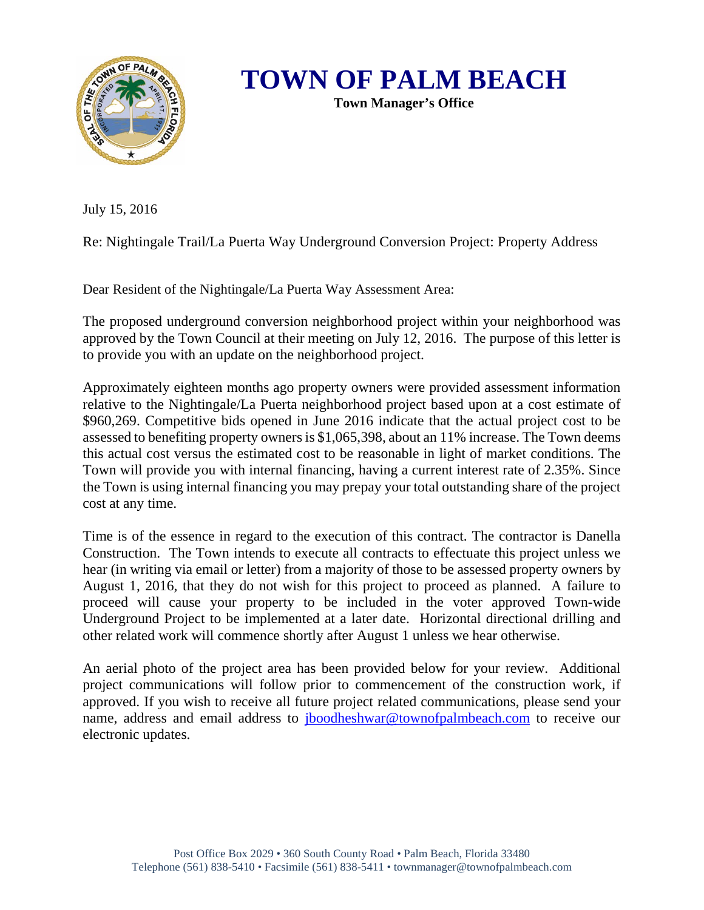

**TOWN OF PALM BEACH**

**Town Manager's Office**

July 15, 2016

Re: Nightingale Trail/La Puerta Way Underground Conversion Project: Property Address

Dear Resident of the Nightingale/La Puerta Way Assessment Area:

The proposed underground conversion neighborhood project within your neighborhood was approved by the Town Council at their meeting on July 12, 2016. The purpose of this letter is to provide you with an update on the neighborhood project.

Approximately eighteen months ago property owners were provided assessment information relative to the Nightingale/La Puerta neighborhood project based upon at a cost estimate of \$960,269. Competitive bids opened in June 2016 indicate that the actual project cost to be assessed to benefiting property owners is \$1,065,398, about an 11% increase. The Town deems this actual cost versus the estimated cost to be reasonable in light of market conditions. The Town will provide you with internal financing, having a current interest rate of 2.35%. Since the Town is using internal financing you may prepay your total outstanding share of the project cost at any time.

Time is of the essence in regard to the execution of this contract. The contractor is Danella Construction. The Town intends to execute all contracts to effectuate this project unless we hear (in writing via email or letter) from a majority of those to be assessed property owners by August 1, 2016, that they do not wish for this project to proceed as planned. A failure to proceed will cause your property to be included in the voter approved Town-wide Underground Project to be implemented at a later date. Horizontal directional drilling and other related work will commence shortly after August 1 unless we hear otherwise.

An aerial photo of the project area has been provided below for your review. Additional project communications will follow prior to commencement of the construction work, if approved. If you wish to receive all future project related communications, please send your name, address and email address to [jboodheshwar@townofpalmbeach.com](mailto:jboodheshwar@townofpalmbeach.com) to receive our electronic updates.